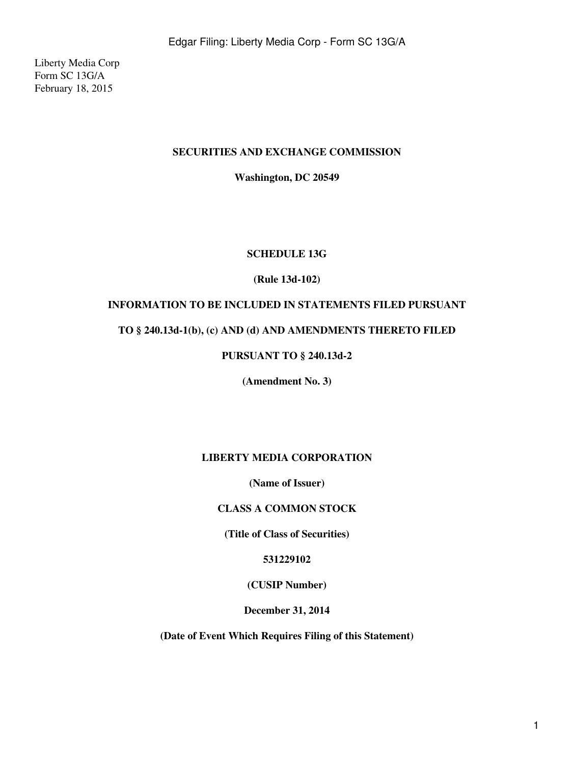Liberty Media Corp Form SC 13G/A February 18, 2015

#### **SECURITIES AND EXCHANGE COMMISSION**

**Washington, DC 20549**

#### **SCHEDULE 13G**

#### **(Rule 13d-102)**

### **INFORMATION TO BE INCLUDED IN STATEMENTS FILED PURSUANT**

#### **TO § 240.13d-1(b), (c) AND (d) AND AMENDMENTS THERETO FILED**

### **PURSUANT TO § 240.13d-2**

**(Amendment No. 3)**

### **LIBERTY MEDIA CORPORATION**

**(Name of Issuer)**

### **CLASS A COMMON STOCK**

**(Title of Class of Securities)**

#### **531229102**

### **(CUSIP Number)**

**December 31, 2014**

**(Date of Event Which Requires Filing of this Statement)**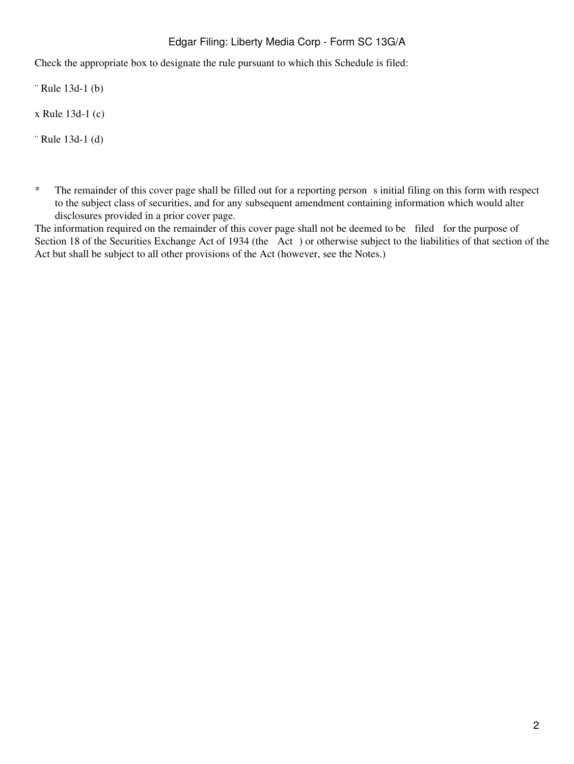Check the appropriate box to designate the rule pursuant to which this Schedule is filed:

¨ Rule 13d-1 (b)

x Rule 13d-1 (c)

¨ Rule 13d-1 (d)

\* The remainder of this cover page shall be filled out for a reporting person s initial filing on this form with respect to the subject class of securities, and for any subsequent amendment containing information which would alter disclosures provided in a prior cover page.

The information required on the remainder of this cover page shall not be deemed to be filed for the purpose of Section 18 of the Securities Exchange Act of 1934 (the Act) or otherwise subject to the liabilities of that section of the Act but shall be subject to all other provisions of the Act (however, see the Notes.)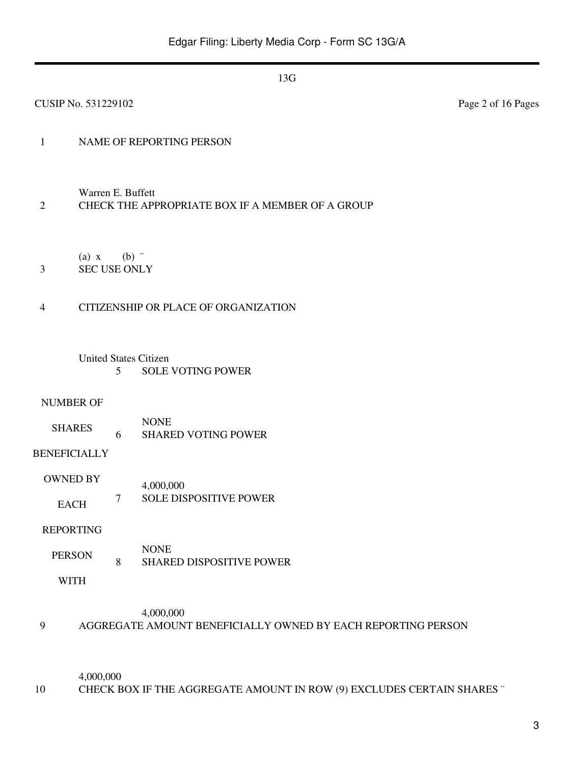| <b>CUSIP No. 531229102</b>             |                                                                       | Page 2 of 16 Pages |  |  |  |
|----------------------------------------|-----------------------------------------------------------------------|--------------------|--|--|--|
| $\mathbf{1}$                           | NAME OF REPORTING PERSON                                              |                    |  |  |  |
| $\mathfrak{2}$                         | Warren E. Buffett<br>CHECK THE APPROPRIATE BOX IF A MEMBER OF A GROUP |                    |  |  |  |
| $(a)$ x<br><b>SEC USE ONLY</b><br>3    | $(b)$ "                                                               |                    |  |  |  |
| $\overline{4}$                         | CITIZENSHIP OR PLACE OF ORGANIZATION                                  |                    |  |  |  |
| <b>United States Citizen</b><br>5      | <b>SOLE VOTING POWER</b>                                              |                    |  |  |  |
| <b>NUMBER OF</b><br><b>SHARES</b><br>6 | <b>NONE</b><br><b>SHARED VOTING POWER</b>                             |                    |  |  |  |
| <b>BENEFICIALLY</b>                    |                                                                       |                    |  |  |  |
| <b>OWNED BY</b>                        | 4,000,000                                                             |                    |  |  |  |
| $\overline{7}$<br><b>EACH</b>          | SOLE DISPOSITIVE POWER                                                |                    |  |  |  |
| <b>REPORTING</b>                       |                                                                       |                    |  |  |  |
| <b>PERSON</b><br>$\,8\,$               | <b>NONE</b><br><b>SHARED DISPOSITIVE POWER</b>                        |                    |  |  |  |
| <b>WITH</b>                            |                                                                       |                    |  |  |  |
|                                        | 4,000,000                                                             |                    |  |  |  |

# 9 AGGREGATE AMOUNT BENEFICIALLY OWNED BY EACH REPORTING PERSON

4,000,000 10 CHECK BOX IF THE AGGREGATE AMOUNT IN ROW (9) EXCLUDES CERTAIN SHARES "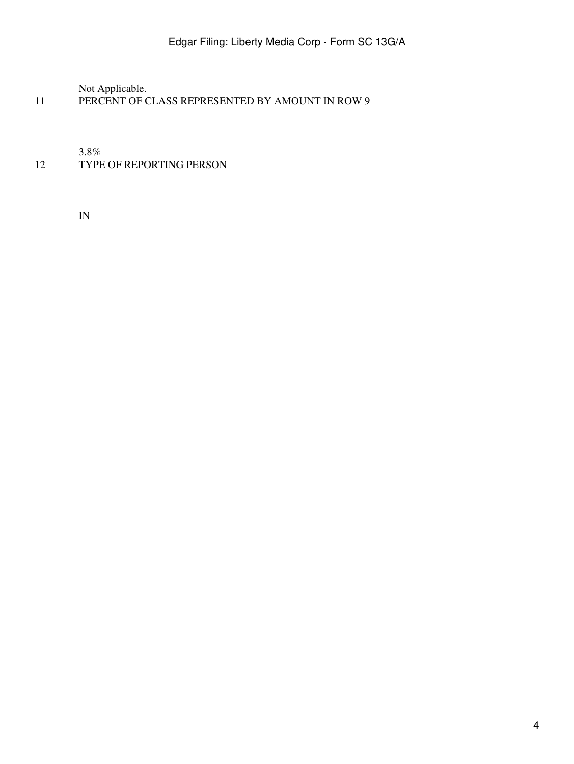Not Applicable.

11 PERCENT OF CLASS REPRESENTED BY AMOUNT IN ROW 9

3.8%

# 12 TYPE OF REPORTING PERSON

IN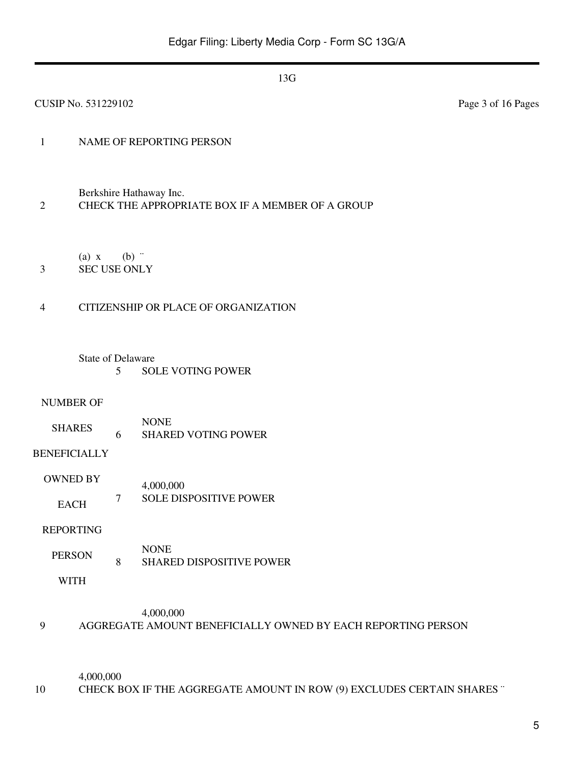| CUSIP No. 531229102 |                                                                             |         |                                                                           | Page 3 of 16 Pages |
|---------------------|-----------------------------------------------------------------------------|---------|---------------------------------------------------------------------------|--------------------|
| $\mathbf{1}$        |                                                                             |         | NAME OF REPORTING PERSON                                                  |                    |
| $\overline{2}$      | Berkshire Hathaway Inc.<br>CHECK THE APPROPRIATE BOX IF A MEMBER OF A GROUP |         |                                                                           |                    |
| 3                   | (a) x<br><b>SEC USE ONLY</b>                                                | $(b)$ " |                                                                           |                    |
| 4                   |                                                                             |         | CITIZENSHIP OR PLACE OF ORGANIZATION                                      |                    |
|                     | <b>State of Delaware</b>                                                    | 5       | <b>SOLE VOTING POWER</b>                                                  |                    |
| <b>NUMBER OF</b>    |                                                                             |         |                                                                           |                    |
|                     | <b>SHARES</b>                                                               | 6       | <b>NONE</b><br><b>SHARED VOTING POWER</b>                                 |                    |
| <b>BENEFICIALLY</b> |                                                                             |         |                                                                           |                    |
|                     | <b>OWNED BY</b>                                                             |         | 4,000,000                                                                 |                    |
|                     | <b>EACH</b>                                                                 | $\tau$  | <b>SOLE DISPOSITIVE POWER</b>                                             |                    |
| <b>REPORTING</b>    |                                                                             |         |                                                                           |                    |
| <b>PERSON</b>       |                                                                             | 8       | <b>NONE</b><br><b>SHARED DISPOSITIVE POWER</b>                            |                    |
|                     | <b>WITH</b>                                                                 |         |                                                                           |                    |
| 9                   |                                                                             |         | 4,000,000<br>AGGREGATE AMOUNT BENEFICIALLY OWNED BY EACH REPORTING PERSON |                    |

4,000,000 10 CHECK BOX IF THE AGGREGATE AMOUNT IN ROW (9) EXCLUDES CERTAIN SHARES "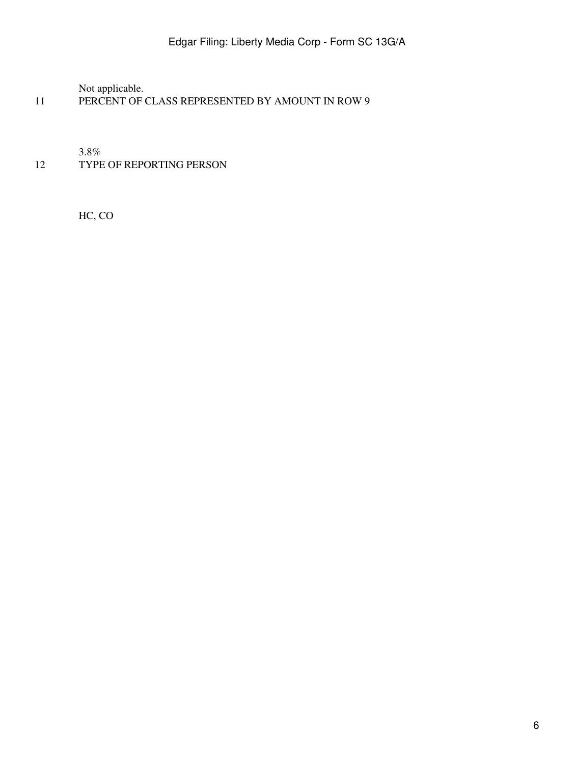Not applicable.

11 PERCENT OF CLASS REPRESENTED BY AMOUNT IN ROW 9

3.8%

12 TYPE OF REPORTING PERSON

HC, CO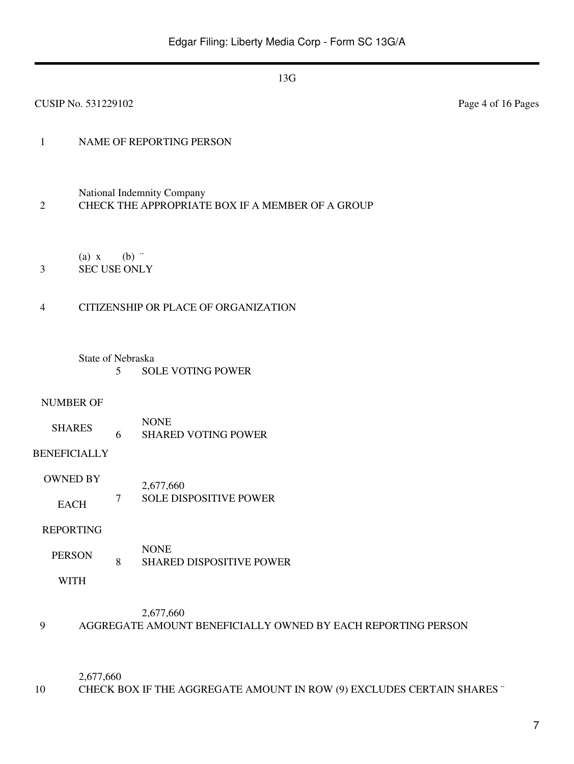| <b>CUSIP No. 531229102</b>     |                                                                                |                                                      | Page 4 of 16 Pages |  |  |
|--------------------------------|--------------------------------------------------------------------------------|------------------------------------------------------|--------------------|--|--|
| $\mathbf{1}$                   |                                                                                | NAME OF REPORTING PERSON                             |                    |  |  |
| $\mathfrak{2}$                 | National Indemnity Company<br>CHECK THE APPROPRIATE BOX IF A MEMBER OF A GROUP |                                                      |                    |  |  |
| $(a)$ x<br>3                   |                                                                                | $(b)$ "<br><b>SEC USE ONLY</b>                       |                    |  |  |
| $\overline{4}$                 |                                                                                | CITIZENSHIP OR PLACE OF ORGANIZATION                 |                    |  |  |
|                                | 5                                                                              | <b>State of Nebraska</b><br><b>SOLE VOTING POWER</b> |                    |  |  |
| <b>NUMBER OF</b>               |                                                                                | <b>NONE</b>                                          |                    |  |  |
| <b>SHARES</b>                  | 6                                                                              | <b>SHARED VOTING POWER</b>                           |                    |  |  |
| <b>BENEFICIALLY</b>            |                                                                                |                                                      |                    |  |  |
| <b>OWNED BY</b><br><b>EACH</b> | $\overline{7}$                                                                 | 2,677,660<br>SOLE DISPOSITIVE POWER                  |                    |  |  |
| <b>REPORTING</b>               |                                                                                |                                                      |                    |  |  |
| <b>PERSON</b>                  | $\,8\,$                                                                        | <b>NONE</b><br><b>SHARED DISPOSITIVE POWER</b>       |                    |  |  |
| <b>WITH</b>                    |                                                                                |                                                      |                    |  |  |
|                                |                                                                                | 2.677.660                                            |                    |  |  |

#### 2,677,660

9 AGGREGATE AMOUNT BENEFICIALLY OWNED BY EACH REPORTING PERSON

2,677,660

10 CHECK BOX IF THE AGGREGATE AMOUNT IN ROW (9) EXCLUDES CERTAIN SHARES "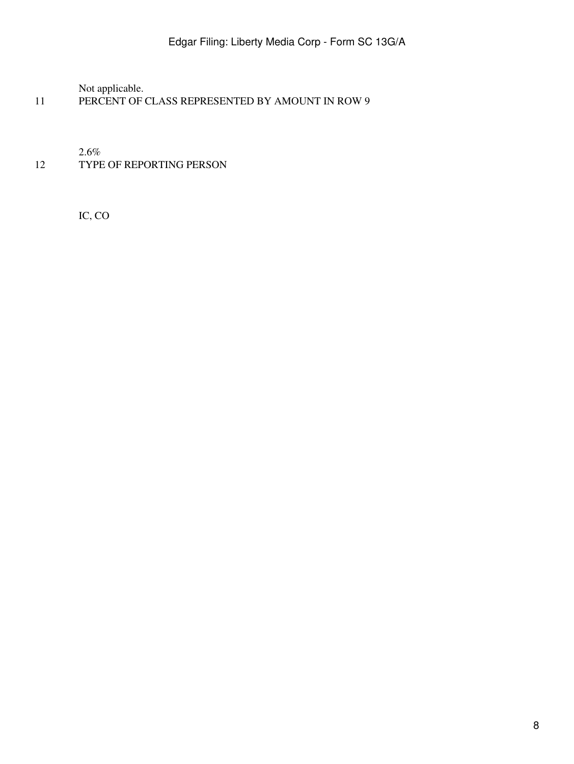Not applicable.

11 PERCENT OF CLASS REPRESENTED BY AMOUNT IN ROW 9

2.6%

12 TYPE OF REPORTING PERSON

IC, CO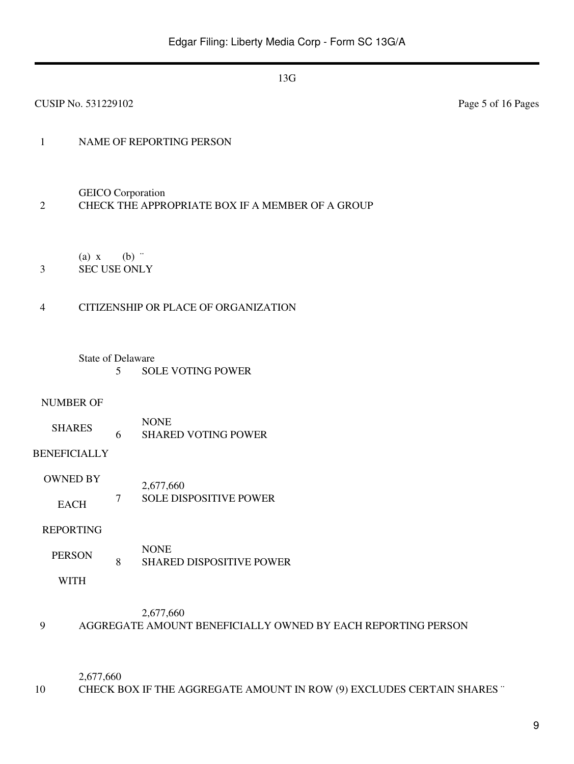| CUSIP No. 531229102                              |                                                                              |                                                | Page 5 of 16 Pages |  |  |
|--------------------------------------------------|------------------------------------------------------------------------------|------------------------------------------------|--------------------|--|--|
| $\mathbf{1}$                                     |                                                                              | NAME OF REPORTING PERSON                       |                    |  |  |
| $\mathfrak{2}$                                   | <b>GEICO</b> Corporation<br>CHECK THE APPROPRIATE BOX IF A MEMBER OF A GROUP |                                                |                    |  |  |
| $(a)$ x<br><b>SEC USE ONLY</b><br>$\mathfrak{Z}$ | $(b)$ "                                                                      |                                                |                    |  |  |
| $\overline{4}$                                   |                                                                              | CITIZENSHIP OR PLACE OF ORGANIZATION           |                    |  |  |
| <b>State of Delaware</b>                         | 5                                                                            | <b>SOLE VOTING POWER</b>                       |                    |  |  |
| <b>NUMBER OF</b><br><b>SHARES</b>                | 6                                                                            | <b>NONE</b><br><b>SHARED VOTING POWER</b>      |                    |  |  |
| <b>BENEFICIALLY</b>                              |                                                                              |                                                |                    |  |  |
| <b>OWNED BY</b>                                  |                                                                              | 2,677,660                                      |                    |  |  |
| <b>EACH</b>                                      | $\tau$                                                                       | <b>SOLE DISPOSITIVE POWER</b>                  |                    |  |  |
| <b>REPORTING</b>                                 |                                                                              |                                                |                    |  |  |
| <b>PERSON</b>                                    | $\,8\,$                                                                      | <b>NONE</b><br><b>SHARED DISPOSITIVE POWER</b> |                    |  |  |
| <b>WITH</b>                                      |                                                                              |                                                |                    |  |  |
|                                                  |                                                                              | 2,677,660                                      |                    |  |  |

2,677,660

10 CHECK BOX IF THE AGGREGATE AMOUNT IN ROW (9) EXCLUDES CERTAIN SHARES "

9 AGGREGATE AMOUNT BENEFICIALLY OWNED BY EACH REPORTING PERSON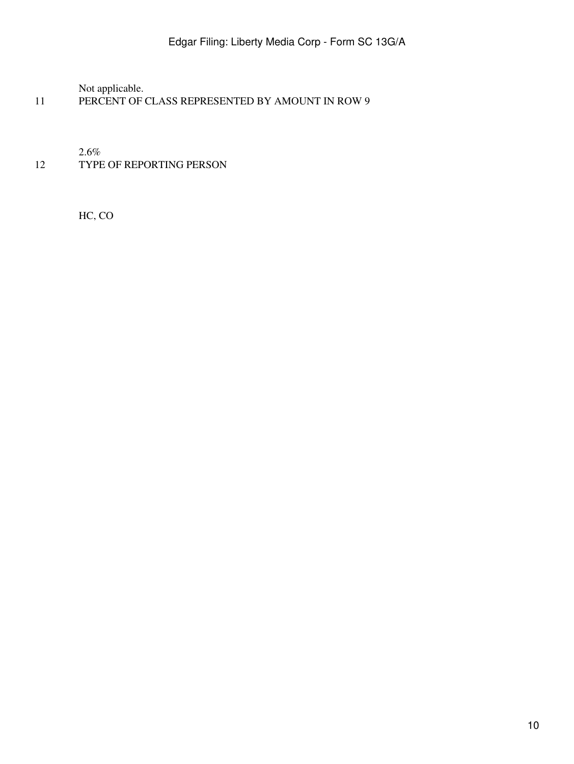Not applicable.

11 PERCENT OF CLASS REPRESENTED BY AMOUNT IN ROW 9

2.6%

12 TYPE OF REPORTING PERSON

HC, CO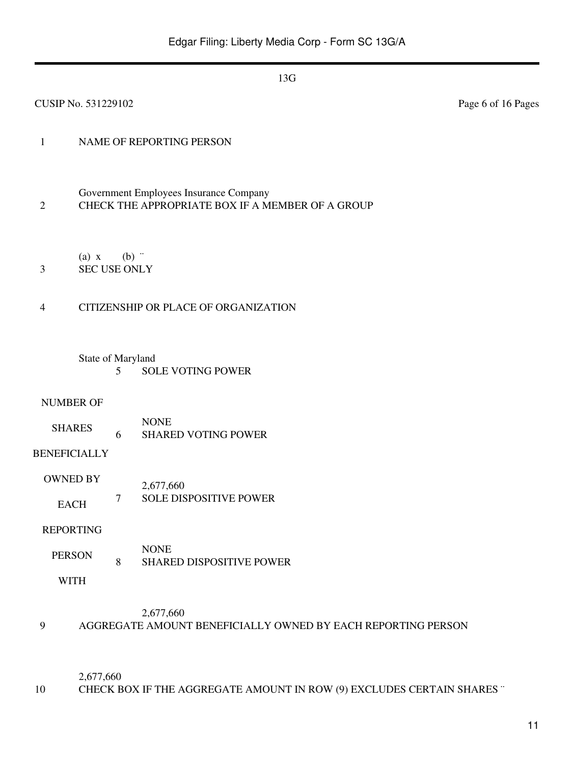| CUSIP No. 531229102 |                                                                                            |                                           | Page 6 of 16 Pages |  |  |
|---------------------|--------------------------------------------------------------------------------------------|-------------------------------------------|--------------------|--|--|
| $\mathbf{1}$        |                                                                                            | NAME OF REPORTING PERSON                  |                    |  |  |
| $\overline{2}$      | Government Employees Insurance Company<br>CHECK THE APPROPRIATE BOX IF A MEMBER OF A GROUP |                                           |                    |  |  |
| $(a)$ x<br>3        | <b>SEC USE ONLY</b>                                                                        | $(b)$ "                                   |                    |  |  |
| $\overline{4}$      |                                                                                            | CITIZENSHIP OR PLACE OF ORGANIZATION      |                    |  |  |
|                     | State of Maryland<br>5                                                                     | <b>SOLE VOTING POWER</b>                  |                    |  |  |
| <b>NUMBER OF</b>    |                                                                                            |                                           |                    |  |  |
| <b>SHARES</b>       | 6                                                                                          | <b>NONE</b><br><b>SHARED VOTING POWER</b> |                    |  |  |
| <b>BENEFICIALLY</b> |                                                                                            |                                           |                    |  |  |
| <b>OWNED BY</b>     |                                                                                            | 2,677,660                                 |                    |  |  |
| <b>EACH</b>         | $\overline{7}$                                                                             | SOLE DISPOSITIVE POWER                    |                    |  |  |
| <b>REPORTING</b>    |                                                                                            |                                           |                    |  |  |
| <b>PERSON</b>       | 8                                                                                          | <b>NONE</b><br>SHARED DISPOSITIVE POWER   |                    |  |  |
| <b>WITH</b>         |                                                                                            |                                           |                    |  |  |
|                     |                                                                                            | 2677660                                   |                    |  |  |

#### 2,677,660 9 AGGREGATE AMOUNT BENEFICIALLY OWNED BY EACH REPORTING PERSON

2,677,660

10 CHECK BOX IF THE AGGREGATE AMOUNT IN ROW (9) EXCLUDES CERTAIN SHARES "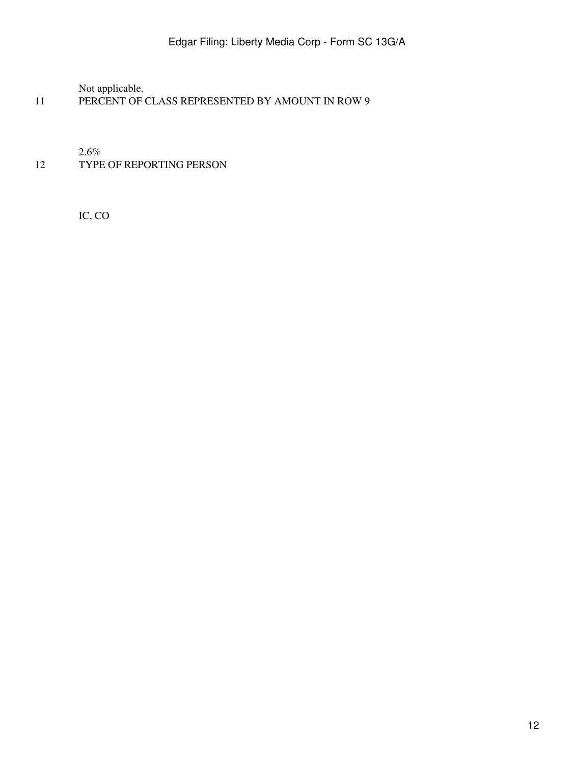Not applicable.

11 PERCENT OF CLASS REPRESENTED BY AMOUNT IN ROW 9

2.6%

12 TYPE OF REPORTING PERSON

IC, CO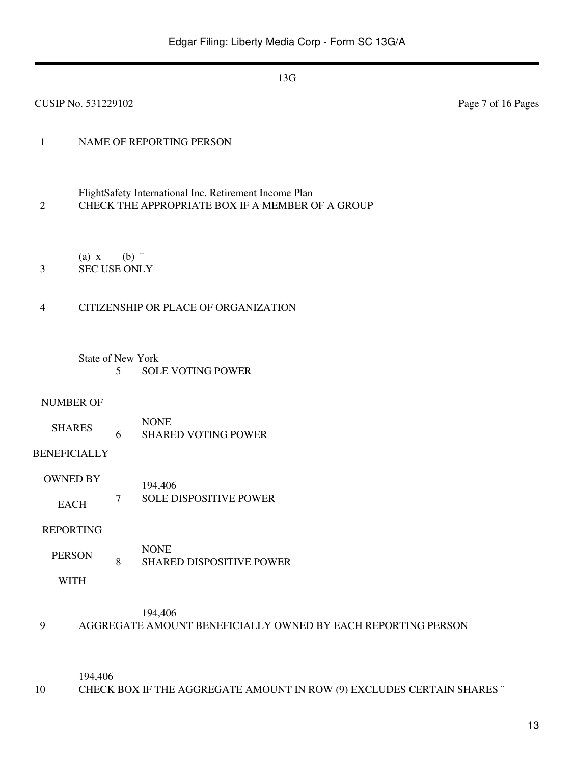| <b>CUSIP No. 531229102</b>                               |                                                                                                            | Page 7 of 16 Pages |
|----------------------------------------------------------|------------------------------------------------------------------------------------------------------------|--------------------|
| $\mathbf{1}$                                             | NAME OF REPORTING PERSON                                                                                   |                    |
| $\overline{2}$                                           | FlightSafety International Inc. Retirement Income Plan<br>CHECK THE APPROPRIATE BOX IF A MEMBER OF A GROUP |                    |
| $(a)$ x<br><b>SEC USE ONLY</b><br>3                      | $(b)$ "                                                                                                    |                    |
| $\overline{4}$                                           | CITIZENSHIP OR PLACE OF ORGANIZATION                                                                       |                    |
|                                                          | <b>State of New York</b><br><b>SOLE VOTING POWER</b><br>5                                                  |                    |
| <b>NUMBER OF</b><br><b>SHARES</b><br><b>BENEFICIALLY</b> | <b>NONE</b><br><b>SHARED VOTING POWER</b><br>6                                                             |                    |
| <b>OWNED BY</b><br><b>EACH</b>                           | 194,406<br><b>SOLE DISPOSITIVE POWER</b><br>$\tau$                                                         |                    |
| <b>REPORTING</b><br><b>PERSON</b>                        | <b>NONE</b><br>$\, 8$<br><b>SHARED DISPOSITIVE POWER</b>                                                   |                    |
| <b>WITH</b>                                              |                                                                                                            |                    |
|                                                          | 194,406                                                                                                    |                    |

194,406

10 CHECK BOX IF THE AGGREGATE AMOUNT IN ROW (9) EXCLUDES CERTAIN SHARES "

9 AGGREGATE AMOUNT BENEFICIALLY OWNED BY EACH REPORTING PERSON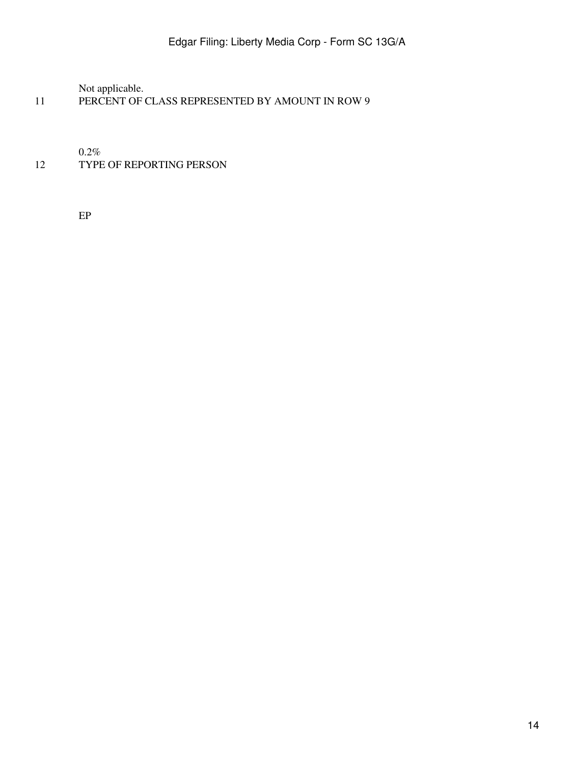Not applicable.

11 PERCENT OF CLASS REPRESENTED BY AMOUNT IN ROW 9

 $0.2\%$ 

# 12 TYPE OF REPORTING PERSON

EP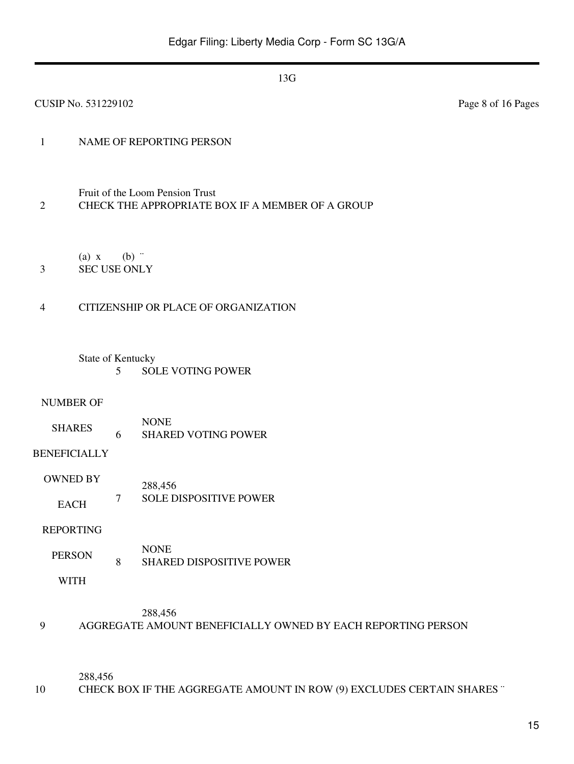| CUSIP No. 531229102                 |         |                                                                                     | Page 8 of 16 Pages |
|-------------------------------------|---------|-------------------------------------------------------------------------------------|--------------------|
| $\mathbf{1}$                        |         | NAME OF REPORTING PERSON                                                            |                    |
| $\overline{2}$                      |         | Fruit of the Loom Pension Trust<br>CHECK THE APPROPRIATE BOX IF A MEMBER OF A GROUP |                    |
| $(a)$ x<br><b>SEC USE ONLY</b><br>3 | $(b)$ " |                                                                                     |                    |
| $\overline{4}$                      |         | CITIZENSHIP OR PLACE OF ORGANIZATION                                                |                    |
| State of Kentucky                   | 5       | <b>SOLE VOTING POWER</b>                                                            |                    |
| <b>NUMBER OF</b><br><b>SHARES</b>   | 6       | <b>NONE</b><br><b>SHARED VOTING POWER</b>                                           |                    |
| <b>BENEFICIALLY</b>                 |         |                                                                                     |                    |
| <b>OWNED BY</b><br><b>EACH</b>      | 7       | 288,456<br>SOLE DISPOSITIVE POWER                                                   |                    |
| <b>REPORTING</b>                    |         |                                                                                     |                    |
| <b>PERSON</b>                       | $8\,$   | <b>NONE</b><br>SHARED DISPOSITIVE POWER                                             |                    |
| <b>WITH</b>                         |         |                                                                                     |                    |
|                                     |         | 288,456                                                                             |                    |

9 AGGREGATE AMOUNT BENEFICIALLY OWNED BY EACH REPORTING PERSON

288,456

10 CHECK BOX IF THE AGGREGATE AMOUNT IN ROW (9) EXCLUDES CERTAIN SHARES "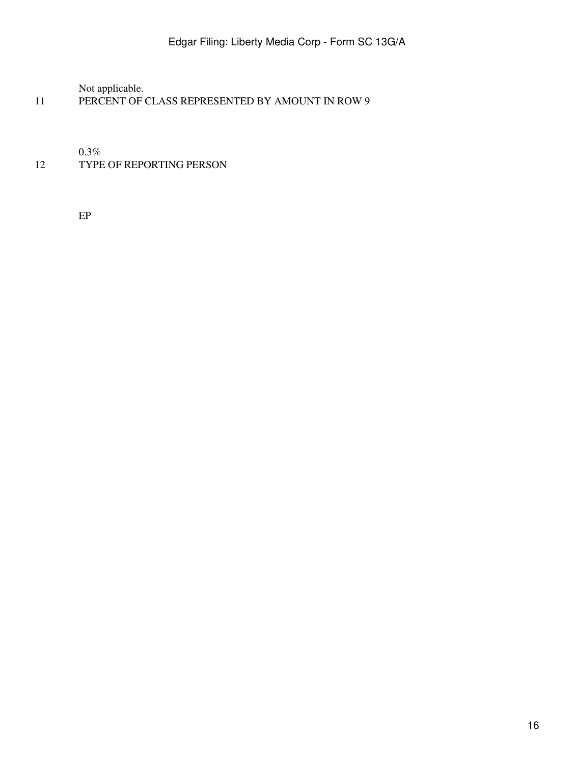Not applicable.

11 PERCENT OF CLASS REPRESENTED BY AMOUNT IN ROW 9

 $0.3\%$ 

# 12 TYPE OF REPORTING PERSON

EP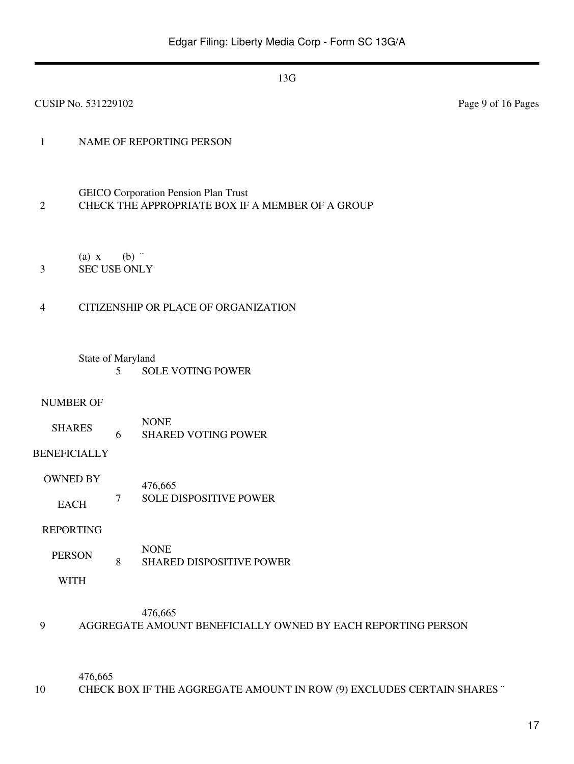| <b>CUSIP No. 531229102</b> |                              |         |                                                                                                 | Page 9 of 16 Pages |
|----------------------------|------------------------------|---------|-------------------------------------------------------------------------------------------------|--------------------|
| $\mathbf{1}$               |                              |         | NAME OF REPORTING PERSON                                                                        |                    |
| $\mathfrak{2}$             |                              |         | <b>GEICO</b> Corporation Pension Plan Trust<br>CHECK THE APPROPRIATE BOX IF A MEMBER OF A GROUP |                    |
| $\mathfrak{Z}$             | (a) x<br><b>SEC USE ONLY</b> | $(b)$ " |                                                                                                 |                    |
| $\overline{4}$             |                              |         | CITIZENSHIP OR PLACE OF ORGANIZATION                                                            |                    |
|                            | State of Maryland            | 5       | <b>SOLE VOTING POWER</b>                                                                        |                    |
|                            | <b>NUMBER OF</b>             |         |                                                                                                 |                    |
|                            | <b>SHARES</b>                | 6       | <b>NONE</b><br><b>SHARED VOTING POWER</b>                                                       |                    |
| <b>BENEFICIALLY</b>        |                              |         |                                                                                                 |                    |
|                            | <b>OWNED BY</b>              |         | 476,665                                                                                         |                    |
|                            | <b>EACH</b>                  | 7       | <b>SOLE DISPOSITIVE POWER</b>                                                                   |                    |
|                            | <b>REPORTING</b>             |         |                                                                                                 |                    |
|                            | <b>PERSON</b>                | $\,8\,$ | <b>NONE</b><br><b>SHARED DISPOSITIVE POWER</b>                                                  |                    |
|                            | <b>WITH</b>                  |         |                                                                                                 |                    |
| 9                          |                              |         | 476,665<br>AGGREGATE AMOUNT BENEFICIALLY OWNED BY EACH REPORTING PERSON                         |                    |

476,665

10 CHECK BOX IF THE AGGREGATE AMOUNT IN ROW (9) EXCLUDES CERTAIN SHARES "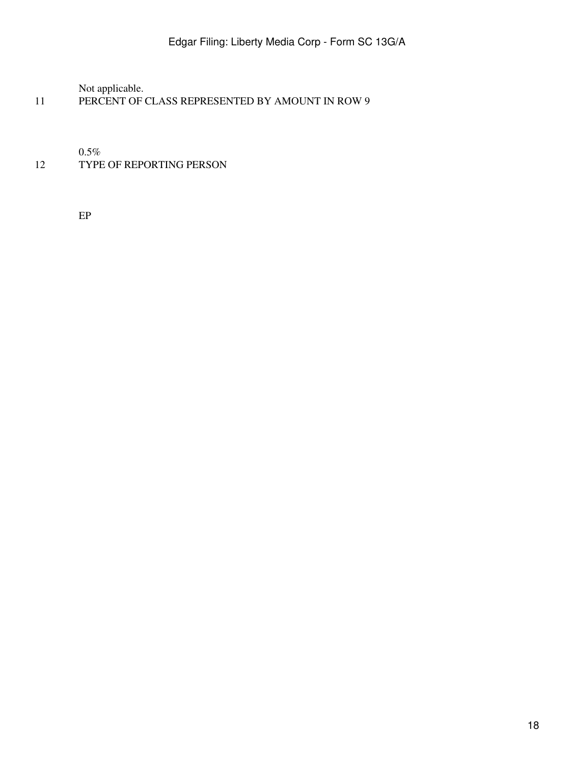Not applicable.

11 PERCENT OF CLASS REPRESENTED BY AMOUNT IN ROW 9

0.5%

# 12 TYPE OF REPORTING PERSON

EP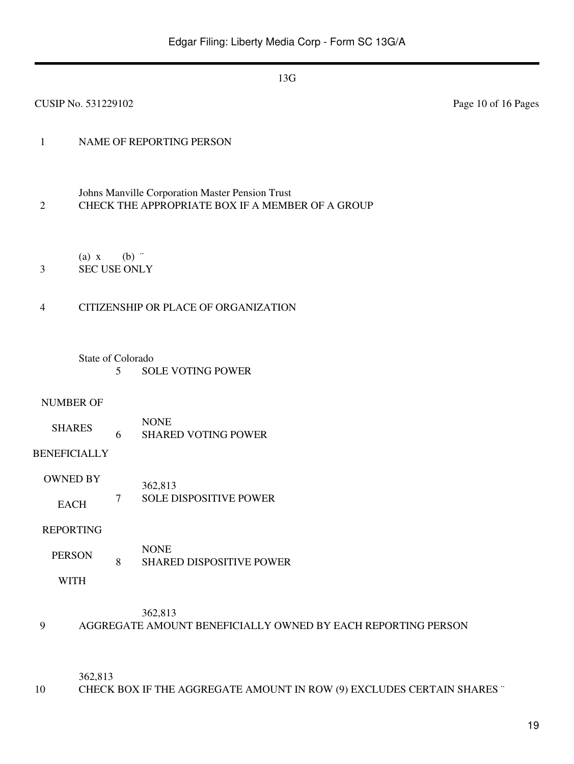| <b>CUSIP No. 531229102</b>                                    |                                                                                                     | Page 10 of 16 Pages |  |  |  |
|---------------------------------------------------------------|-----------------------------------------------------------------------------------------------------|---------------------|--|--|--|
| $\mathbf{1}$                                                  | NAME OF REPORTING PERSON                                                                            |                     |  |  |  |
| $\overline{2}$                                                | Johns Manville Corporation Master Pension Trust<br>CHECK THE APPROPRIATE BOX IF A MEMBER OF A GROUP |                     |  |  |  |
| $(a)$ x<br><b>SEC USE ONLY</b><br>3                           | (b)                                                                                                 |                     |  |  |  |
| $\overline{4}$                                                | CITIZENSHIP OR PLACE OF ORGANIZATION                                                                |                     |  |  |  |
| State of Colorado<br>5                                        | <b>SOLE VOTING POWER</b>                                                                            |                     |  |  |  |
| <b>NUMBER OF</b><br><b>SHARES</b><br>6<br><b>BENEFICIALLY</b> | <b>NONE</b><br><b>SHARED VOTING POWER</b>                                                           |                     |  |  |  |
| <b>OWNED BY</b><br>7<br><b>EACH</b>                           | 362,813<br><b>SOLE DISPOSITIVE POWER</b>                                                            |                     |  |  |  |
| <b>REPORTING</b>                                              |                                                                                                     |                     |  |  |  |
| <b>PERSON</b><br>$8\,$<br><b>WITH</b>                         | <b>NONE</b><br><b>SHARED DISPOSITIVE POWER</b>                                                      |                     |  |  |  |
|                                                               | 362,813                                                                                             |                     |  |  |  |

362,813

10 CHECK BOX IF THE AGGREGATE AMOUNT IN ROW (9) EXCLUDES CERTAIN SHARES "

9 AGGREGATE AMOUNT BENEFICIALLY OWNED BY EACH REPORTING PERSON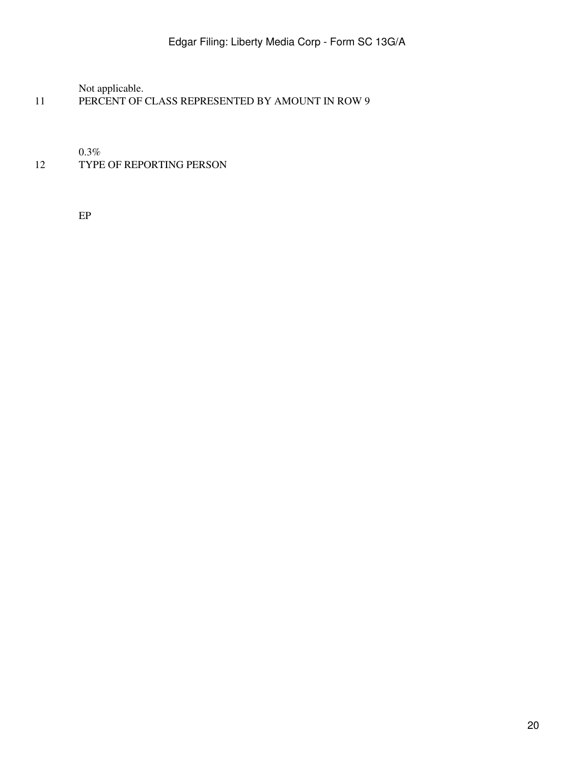Not applicable.

11 PERCENT OF CLASS REPRESENTED BY AMOUNT IN ROW 9

 $0.3\%$ 

# 12 TYPE OF REPORTING PERSON

EP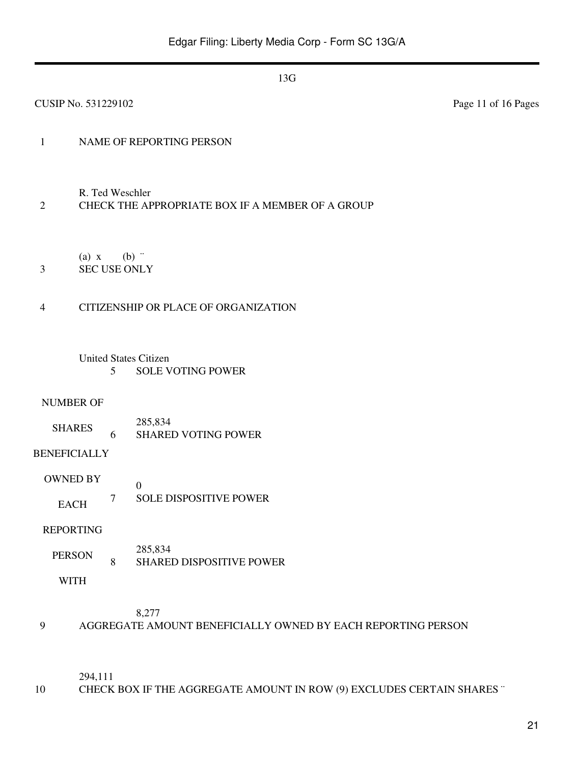| <b>CUSIP No. 531229102</b>                                                            | Page 11 of 16 Pages |  |  |  |  |  |
|---------------------------------------------------------------------------------------|---------------------|--|--|--|--|--|
| NAME OF REPORTING PERSON<br>$\mathbf{1}$                                              |                     |  |  |  |  |  |
| R. Ted Weschler<br>CHECK THE APPROPRIATE BOX IF A MEMBER OF A GROUP<br>$\overline{2}$ |                     |  |  |  |  |  |
| (a) x<br>$(b)$ "<br><b>SEC USE ONLY</b><br>3                                          |                     |  |  |  |  |  |
| CITIZENSHIP OR PLACE OF ORGANIZATION<br>$\overline{4}$                                |                     |  |  |  |  |  |
| <b>United States Citizen</b><br><b>SOLE VOTING POWER</b><br>5                         |                     |  |  |  |  |  |
| <b>NUMBER OF</b>                                                                      |                     |  |  |  |  |  |
| 285,834<br><b>SHARES</b><br><b>SHARED VOTING POWER</b><br>6                           |                     |  |  |  |  |  |
| <b>BENEFICIALLY</b>                                                                   |                     |  |  |  |  |  |
| <b>OWNED BY</b><br>$\boldsymbol{0}$                                                   |                     |  |  |  |  |  |
| <b>SOLE DISPOSITIVE POWER</b><br>$\tau$<br><b>EACH</b>                                |                     |  |  |  |  |  |
| <b>REPORTING</b>                                                                      |                     |  |  |  |  |  |
| 285,834<br><b>PERSON</b><br>$\,8\,$<br><b>SHARED DISPOSITIVE POWER</b>                |                     |  |  |  |  |  |
| <b>WITH</b>                                                                           |                     |  |  |  |  |  |

### 8,277

9 AGGREGATE AMOUNT BENEFICIALLY OWNED BY EACH REPORTING PERSON

294,111

10 CHECK BOX IF THE AGGREGATE AMOUNT IN ROW (9) EXCLUDES CERTAIN SHARES "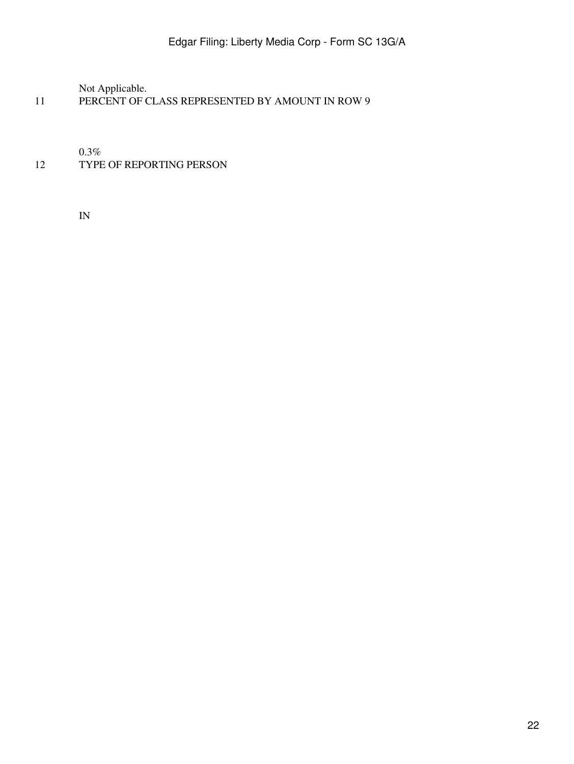Not Applicable.

11 PERCENT OF CLASS REPRESENTED BY AMOUNT IN ROW 9

0.3%

### 12 TYPE OF REPORTING PERSON

IN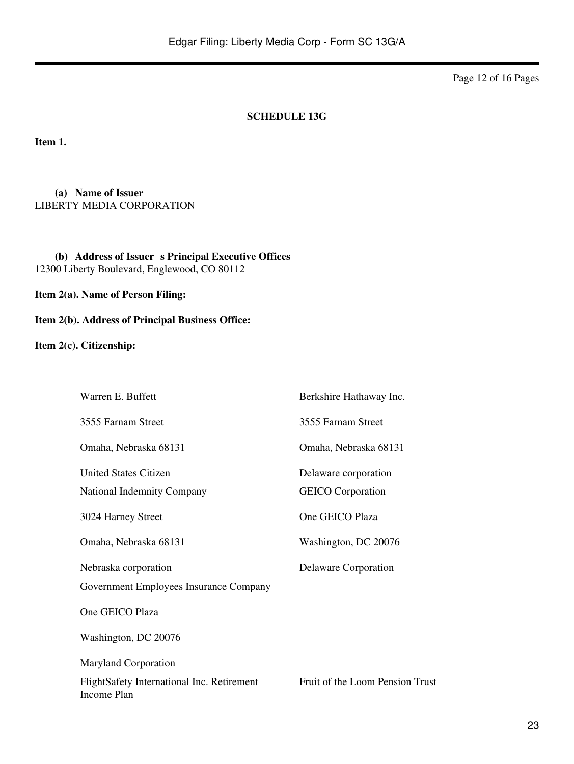Page 12 of 16 Pages

#### **SCHEDULE 13G**

**Item 1.**

**(a) Name of Issuer** LIBERTY MEDIA CORPORATION

(b) **Address of Issuer s Principal Executive Offices** 12300 Liberty Boulevard, Englewood, CO 80112

**Item 2(a). Name of Person Filing:**

**Item 2(b). Address of Principal Business Office:**

**Item 2(c). Citizenship:**

| Warren E. Buffett                                         | Berkshire Hathaway Inc.         |
|-----------------------------------------------------------|---------------------------------|
| 3555 Farnam Street                                        | 3555 Farnam Street              |
| Omaha, Nebraska 68131                                     | Omaha, Nebraska 68131           |
| <b>United States Citizen</b>                              | Delaware corporation            |
| <b>National Indemnity Company</b>                         | <b>GEICO</b> Corporation        |
| 3024 Harney Street                                        | One GEICO Plaza                 |
| Omaha, Nebraska 68131                                     | Washington, DC 20076            |
| Nebraska corporation                                      | Delaware Corporation            |
| Government Employees Insurance Company                    |                                 |
| One GEICO Plaza                                           |                                 |
| Washington, DC 20076                                      |                                 |
| <b>Maryland Corporation</b>                               |                                 |
| FlightSafety International Inc. Retirement<br>Income Plan | Fruit of the Loom Pension Trust |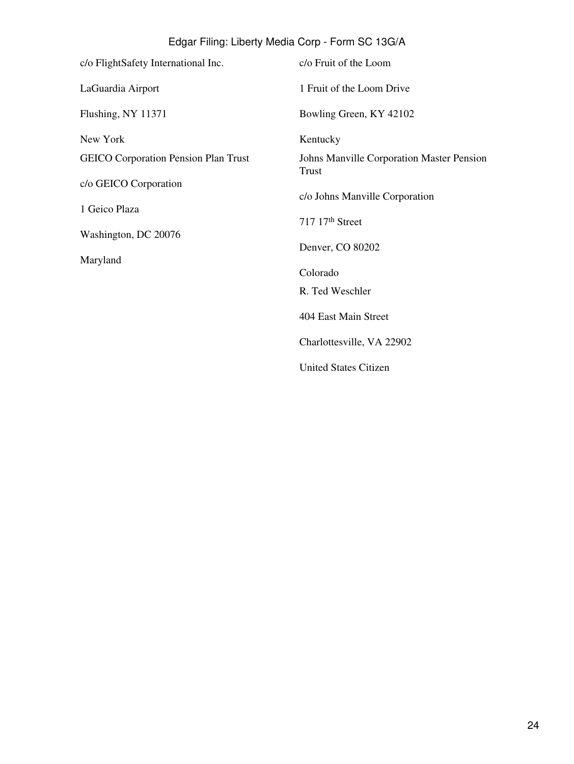| c/o FlightSafety International Inc.         | c/o Fruit of the Loom                                     |
|---------------------------------------------|-----------------------------------------------------------|
| LaGuardia Airport                           | 1 Fruit of the Loom Drive                                 |
| Flushing, NY 11371                          | Bowling Green, KY 42102                                   |
| New York                                    | Kentucky                                                  |
| <b>GEICO Corporation Pension Plan Trust</b> | Johns Manville Corporation Master Pension<br><b>Trust</b> |
| c/o GEICO Corporation                       | c/o Johns Manville Corporation                            |
| 1 Geico Plaza                               | 717 17th Street                                           |
| Washington, DC 20076                        |                                                           |
| Maryland                                    | Denver, CO 80202                                          |
|                                             | Colorado                                                  |
|                                             | R. Ted Weschler                                           |
|                                             | 404 East Main Street                                      |
|                                             | Charlottesville, VA 22902                                 |
|                                             | <b>United States Citizen</b>                              |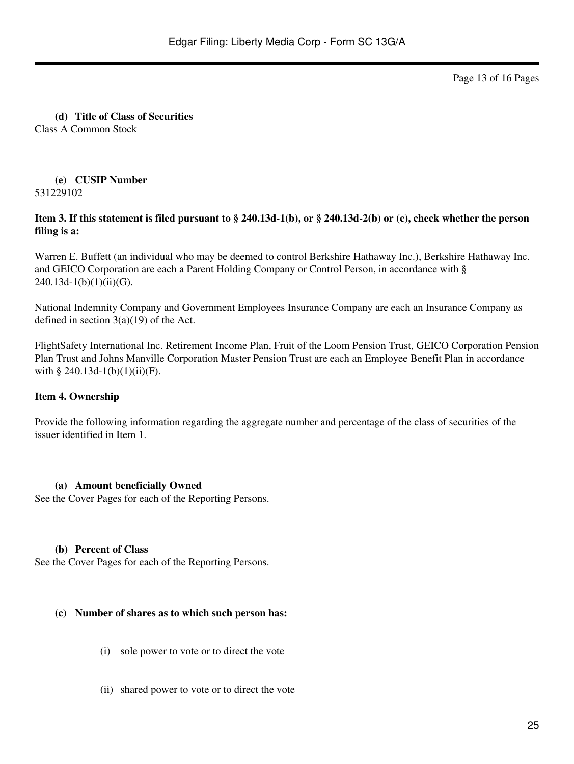Page 13 of 16 Pages

**(d) Title of Class of Securities** Class A Common Stock

#### **(e) CUSIP Number** 531229102

### **Item 3. If this statement is filed pursuant to § 240.13d-1(b), or § 240.13d-2(b) or (c), check whether the person filing is a:**

Warren E. Buffett (an individual who may be deemed to control Berkshire Hathaway Inc.), Berkshire Hathaway Inc. and GEICO Corporation are each a Parent Holding Company or Control Person, in accordance with §  $240.13d-1(b)(1)(ii)(G)$ .

National Indemnity Company and Government Employees Insurance Company are each an Insurance Company as defined in section  $3(a)(19)$  of the Act.

FlightSafety International Inc. Retirement Income Plan, Fruit of the Loom Pension Trust, GEICO Corporation Pension Plan Trust and Johns Manville Corporation Master Pension Trust are each an Employee Benefit Plan in accordance with § 240.13d-1(b)(1)(ii)(F).

### **Item 4. Ownership**

Provide the following information regarding the aggregate number and percentage of the class of securities of the issuer identified in Item 1.

### **(a) Amount beneficially Owned**

See the Cover Pages for each of the Reporting Persons.

#### **(b) Percent of Class**

See the Cover Pages for each of the Reporting Persons.

#### **(c) Number of shares as to which such person has:**

- (i) sole power to vote or to direct the vote
- (ii) shared power to vote or to direct the vote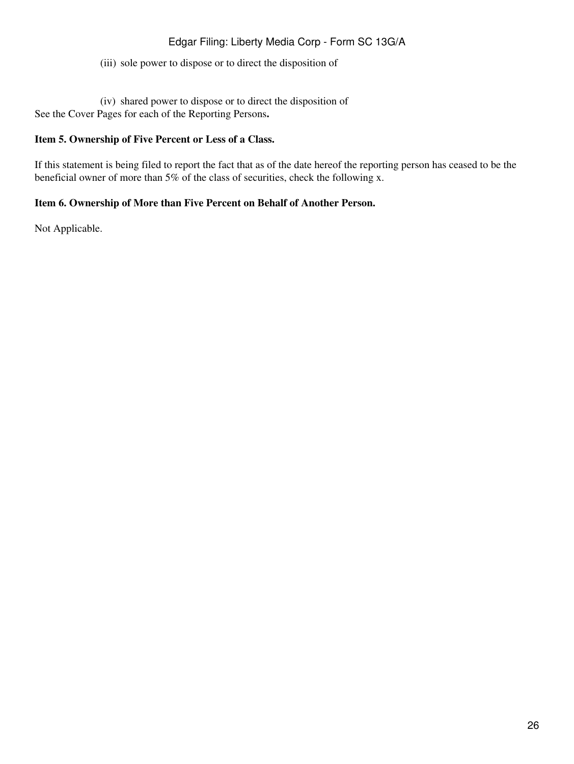(iii) sole power to dispose or to direct the disposition of

(iv) shared power to dispose or to direct the disposition of See the Cover Pages for each of the Reporting Persons**.**

### **Item 5. Ownership of Five Percent or Less of a Class.**

If this statement is being filed to report the fact that as of the date hereof the reporting person has ceased to be the beneficial owner of more than 5% of the class of securities, check the following x.

#### **Item 6. Ownership of More than Five Percent on Behalf of Another Person.**

Not Applicable.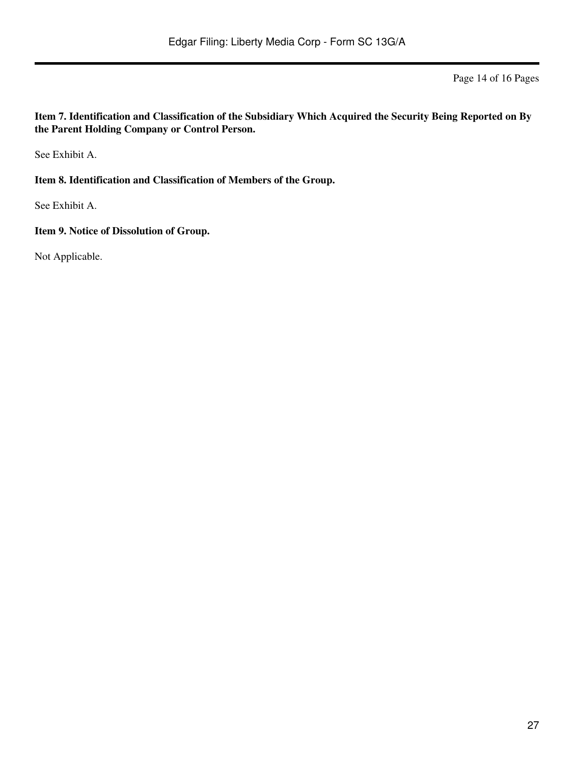Page 14 of 16 Pages

**Item 7. Identification and Classification of the Subsidiary Which Acquired the Security Being Reported on By the Parent Holding Company or Control Person.**

See Exhibit A.

**Item 8. Identification and Classification of Members of the Group.**

See Exhibit A.

**Item 9. Notice of Dissolution of Group.**

Not Applicable.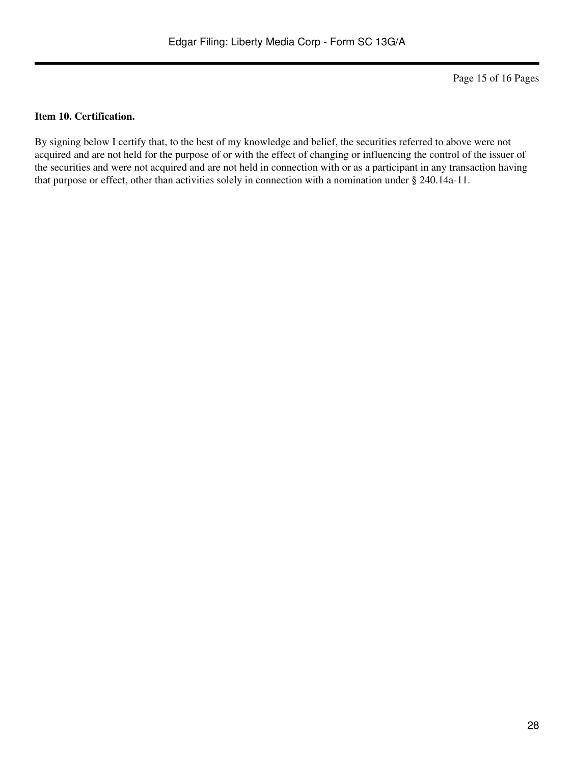Page 15 of 16 Pages

#### **Item 10. Certification.**

By signing below I certify that, to the best of my knowledge and belief, the securities referred to above were not acquired and are not held for the purpose of or with the effect of changing or influencing the control of the issuer of the securities and were not acquired and are not held in connection with or as a participant in any transaction having that purpose or effect, other than activities solely in connection with a nomination under § 240.14a-11.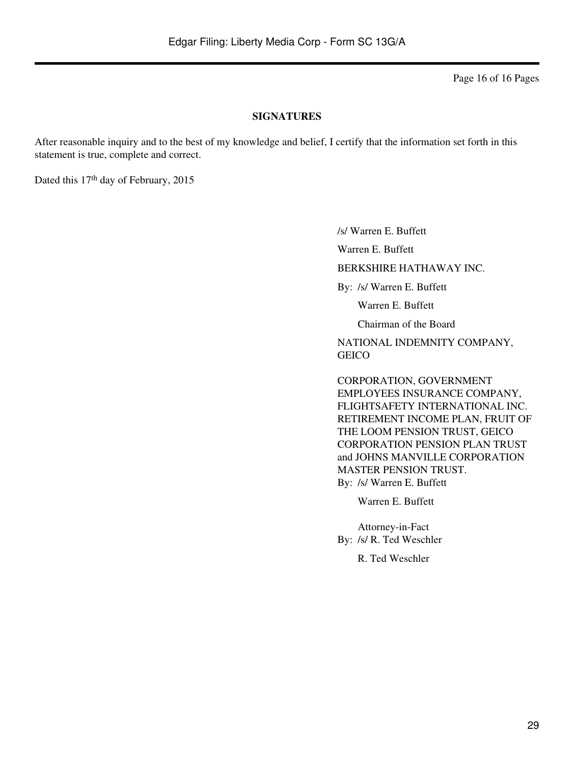Page 16 of 16 Pages

#### **SIGNATURES**

After reasonable inquiry and to the best of my knowledge and belief, I certify that the information set forth in this statement is true, complete and correct.

Dated this 17<sup>th</sup> day of February, 2015

/s/ Warren E. Buffett

Warren E. Buffett

BERKSHIRE HATHAWAY INC.

By: /s/ Warren E. Buffett

Warren E. Buffett

Chairman of the Board

NATIONAL INDEMNITY COMPANY, **GEICO** 

CORPORATION, GOVERNMENT EMPLOYEES INSURANCE COMPANY, FLIGHTSAFETY INTERNATIONAL INC. RETIREMENT INCOME PLAN, FRUIT OF THE LOOM PENSION TRUST, GEICO CORPORATION PENSION PLAN TRUST and JOHNS MANVILLE CORPORATION MASTER PENSION TRUST. By: /s/ Warren E. Buffett

Warren E. Buffett

Attorney-in-Fact By: /s/ R. Ted Weschler

R. Ted Weschler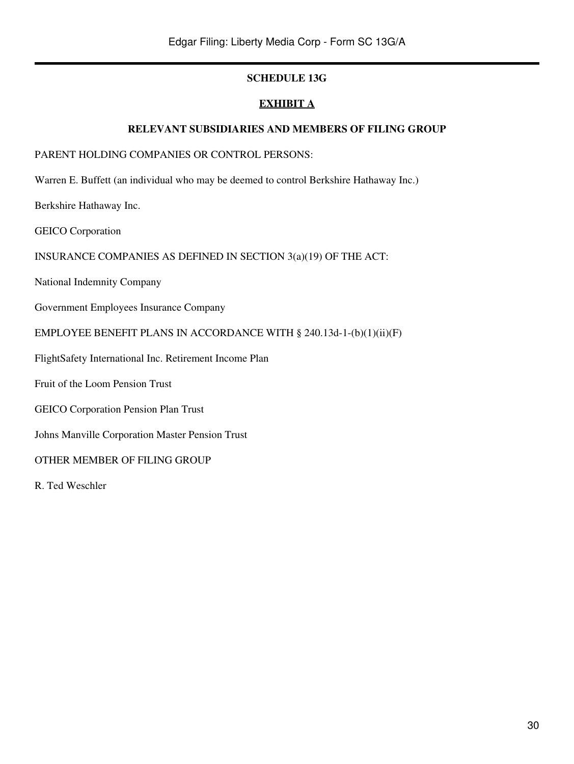### **SCHEDULE 13G**

### **EXHIBIT A**

#### **RELEVANT SUBSIDIARIES AND MEMBERS OF FILING GROUP**

### PARENT HOLDING COMPANIES OR CONTROL PERSONS:

Warren E. Buffett (an individual who may be deemed to control Berkshire Hathaway Inc.)

Berkshire Hathaway Inc.

GEICO Corporation

### INSURANCE COMPANIES AS DEFINED IN SECTION 3(a)(19) OF THE ACT:

National Indemnity Company

Government Employees Insurance Company

#### EMPLOYEE BENEFIT PLANS IN ACCORDANCE WITH § 240.13d-1-(b)(1)(ii)(F)

FlightSafety International Inc. Retirement Income Plan

Fruit of the Loom Pension Trust

GEICO Corporation Pension Plan Trust

Johns Manville Corporation Master Pension Trust

OTHER MEMBER OF FILING GROUP

R. Ted Weschler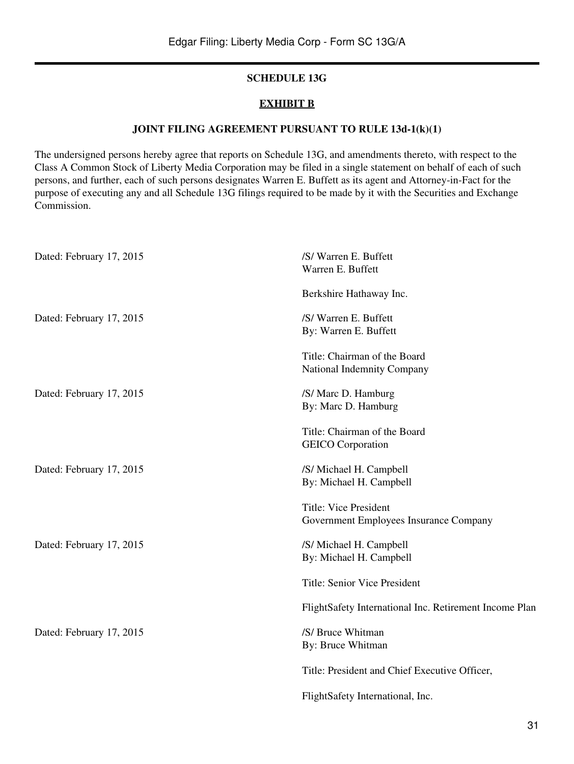### **SCHEDULE 13G**

#### **EXHIBIT B**

#### **JOINT FILING AGREEMENT PURSUANT TO RULE 13d-1(k)(1)**

The undersigned persons hereby agree that reports on Schedule 13G, and amendments thereto, with respect to the Class A Common Stock of Liberty Media Corporation may be filed in a single statement on behalf of each of such persons, and further, each of such persons designates Warren E. Buffett as its agent and Attorney-in-Fact for the purpose of executing any and all Schedule 13G filings required to be made by it with the Securities and Exchange Commission.

| Dated: February 17, 2015 | /S/Warren E. Buffett<br>Warren E. Buffett                       |
|--------------------------|-----------------------------------------------------------------|
|                          | Berkshire Hathaway Inc.                                         |
| Dated: February 17, 2015 | /S/Warren E. Buffett<br>By: Warren E. Buffett                   |
|                          | Title: Chairman of the Board<br>National Indemnity Company      |
| Dated: February 17, 2015 | /S/ Marc D. Hamburg<br>By: Marc D. Hamburg                      |
|                          | Title: Chairman of the Board<br><b>GEICO</b> Corporation        |
| Dated: February 17, 2015 | /S/ Michael H. Campbell<br>By: Michael H. Campbell              |
|                          | Title: Vice President<br>Government Employees Insurance Company |
| Dated: February 17, 2015 | /S/ Michael H. Campbell<br>By: Michael H. Campbell              |
|                          | Title: Senior Vice President                                    |
|                          | FlightSafety International Inc. Retirement Income Plan          |
| Dated: February 17, 2015 | /S/ Bruce Whitman<br>By: Bruce Whitman                          |
|                          | Title: President and Chief Executive Officer,                   |
|                          | FlightSafety International, Inc.                                |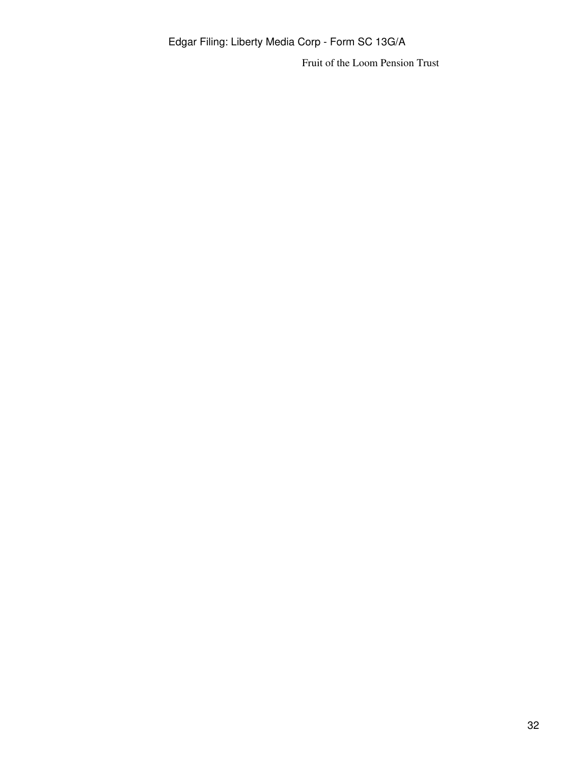Fruit of the Loom Pension Trust